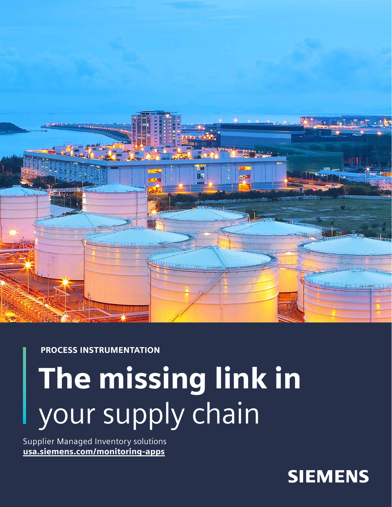

### PROCESS INSTRUMENTATION

# The missing link in your supply chain

Supplier Managed Inventory solutions [usa.siemens.com/monitoring-apps](https://new.siemens.com/us/en/products/automation/process-instrumentation/digitalization/water-monitoring-application.html)